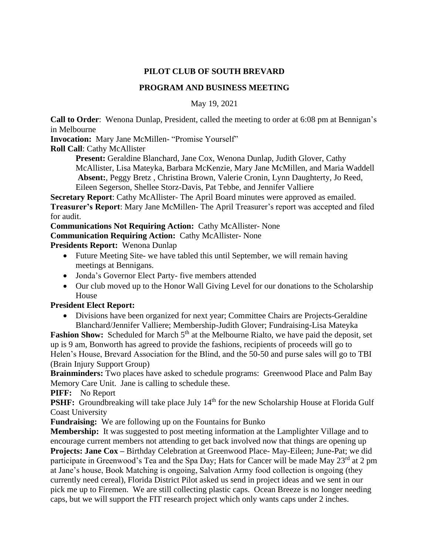## **PILOT CLUB OF SOUTH BREVARD**

## **PROGRAM AND BUSINESS MEETING**

May 19, 2021

**Call to Order**: Wenona Dunlap, President, called the meeting to order at 6:08 pm at Bennigan's in Melbourne

**Invocation:** Mary Jane McMillen- "Promise Yourself"

**Roll Call**: Cathy McAllister

Present: Geraldine Blanchard, Jane Cox, Wenona Dunlap, Judith Glover, Cathy McAllister, Lisa Mateyka, Barbara McKenzie, Mary Jane McMillen, and Maria Waddell **Absent:**, Peggy Bretz , Christina Brown, Valerie Cronin, Lynn Daughterty, Jo Reed, Eileen Segerson, Shellee Storz-Davis, Pat Tebbe, and Jennifer Valliere

**Secretary Report:** Cathy McAllister- The April Board minutes were approved as emailed.

**Treasurer's Report**: Mary Jane McMillen- The April Treasurer's report was accepted and filed for audit.

**Communications Not Requiring Action:** Cathy McAllister- None

**Communication Requiring Action:** Cathy McAllister- None

**Presidents Report:** Wenona Dunlap

- Future Meeting Site- we have tabled this until September, we will remain having meetings at Bennigans.
- Jonda's Governor Elect Party- five members attended
- Our club moved up to the Honor Wall Giving Level for our donations to the Scholarship House

## **President Elect Report:**

• Divisions have been organized for next year; Committee Chairs are Projects-Geraldine Blanchard/Jennifer Valliere; Membership-Judith Glover; Fundraising-Lisa Mateyka

Fashion Show: Scheduled for March 5<sup>th</sup> at the Melbourne Rialto, we have paid the deposit, set up is 9 am, Bonworth has agreed to provide the fashions, recipients of proceeds will go to Helen's House, Brevard Association for the Blind, and the 50-50 and purse sales will go to TBI (Brain Injury Support Group)

**Brainminders:** Two places have asked to schedule programs: Greenwood Place and Palm Bay Memory Care Unit. Jane is calling to schedule these.

**PIFF:** No Report

**PSHF:** Groundbreaking will take place July 14<sup>th</sup> for the new Scholarship House at Florida Gulf Coast University

**Fundraising:** We are following up on the Fountains for Bunko

**Membership:** It was suggested to post meeting information at the Lamplighter Village and to encourage current members not attending to get back involved now that things are opening up

**Projects: Jane Cox –** Birthday Celebration at Greenwood Place- May-Eileen; June-Pat; we did participate in Greenwood's Tea and the Spa Day; Hats for Cancer will be made May 23<sup>rd</sup> at 2 pm at Jane's house, Book Matching is ongoing, Salvation Army food collection is ongoing (they currently need cereal), Florida District Pilot asked us send in project ideas and we sent in our pick me up to Firemen. We are still collecting plastic caps. Ocean Breeze is no longer needing caps, but we will support the FIT research project which only wants caps under 2 inches.